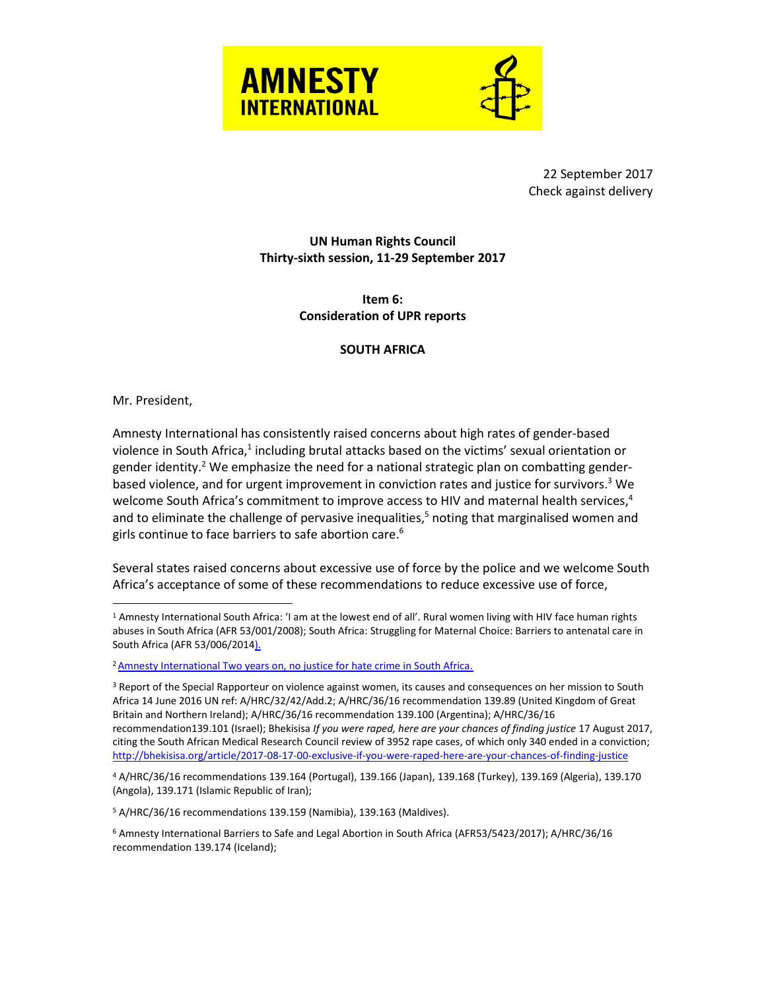



22 September 2017 Check against delivery

## **UN Human Rights Council Thirty-sixth session, 11-29 September 2017**

**Item 6: Consideration of UPR reports**

## **SOUTH AFRICA**

## Mr. President,

 $\overline{a}$ 

Amnesty International has consistently raised concerns about high rates of gender-based violence in South Africa,<sup>1</sup> including brutal attacks based on the victims' sexual orientation or gender identity.<sup>2</sup> We emphasize the need for a national strategic plan on combatting genderbased violence, and for urgent improvement in conviction rates and justice for survivors.<sup>3</sup> We welcome South Africa's commitment to improve access to HIV and maternal health services,<sup>4</sup> and to eliminate the challenge of pervasive inequalities, <sup>5</sup> noting that marginalised women and girls continue to face barriers to safe abortion care.<sup>6</sup>

Several states raised concerns about excessive use of force by the police and we welcome South Africa's acceptance of some of these recommendations to reduce excessive use of force,

<sup>3</sup> Report of the Special Rapporteur on violence against women, its causes and consequences on her mission to South Africa 14 June 2016 UN ref: A/HRC/32/42/Add.2; A/HRC/36/16 recommendation 139.89 (United Kingdom of Great Britain and Northern Ireland); A/HRC/36/16 recommendation 139.100 (Argentina); A/HRC/36/16 recommendation139.101 (Israel); Bhekisisa *If you were raped, here are your chances of finding justice* 17 August 2017, citing the South African Medical Research Council review of 3952 rape cases, of which only 340 ended in a conviction; <http://bhekisisa.org/article/2017-08-17-00-exclusive-if-you-were-raped-here-are-your-chances-of-finding-justice>

<sup>1</sup> Amnesty International South Africa: 'I am at the lowest end of all'. Rural women living with HIV face human rights abuses in South Africa (AFR 53/001/2008); South Africa: Struggling for Maternal Choice: Barriers to antenatal care in South Africa (AFR 53/006/2014).

<sup>&</sup>lt;sup>2</sup> Amnesty International Two years on, no justice for hate crime in South Africa.

<sup>4</sup> A/HRC/36/16 recommendations 139.164 (Portugal), 139.166 (Japan), 139.168 (Turkey), 139.169 (Algeria), 139.170 (Angola), 139.171 (Islamic Republic of Iran);

<sup>5</sup> A/HRC/36/16 recommendations 139.159 (Namibia), 139.163 (Maldives).

<sup>6</sup> Amnesty International Barriers to Safe and Legal Abortion in South Africa (AFR53/5423/2017); A/HRC/36/16 recommendation 139.174 (Iceland);